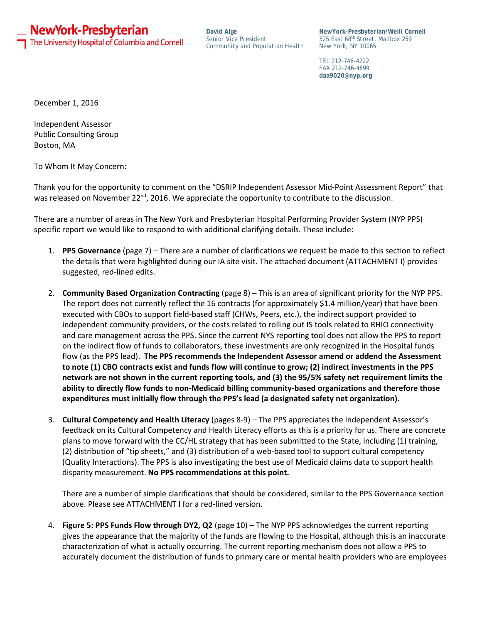**」 NewYork-Presbyterian** The University Hospital of Columbia and Cornell

**David Alge** *Senior Vice President Community and Population Health*

**NewYork-Presbyterian/Weill Cornell** 525 East 68th Street, Mailbox 259 New York, NY 10065

TEL 212-746-4222 FAX 212-746-4899 **daa9020@nyp.org**

December 1, 2016

Independent Assessor Public Consulting Group Boston, MA

To Whom It May Concern:

Thank you for the opportunity to comment on the "DSRIP Independent Assessor Mid-Point Assessment Report" that was released on November 22<sup>nd</sup>, 2016. We appreciate the opportunity to contribute to the discussion.

There are a number of areas in The New York and Presbyterian Hospital Performing Provider System (NYP PPS) specific report we would like to respond to with additional clarifying details. These include:

- 1. **PPS Governance** (page 7) There are a number of clarifications we request be made to this section to reflect the details that were highlighted during our IA site visit. The attached document (ATTACHMENT I) provides suggested, red-lined edits.
- 2. **Community Based Organization Contracting** (page 8) This is an area of significant priority for the NYP PPS. The report does not currently reflect the 16 contracts (for approximately \$1.4 million/year) that have been executed with CBOs to support field-based staff (CHWs, Peers, etc.), the indirect support provided to independent community providers, or the costs related to rolling out IS tools related to RHIO connectivity and care management across the PPS. Since the current NYS reporting tool does not allow the PPS to report on the indirect flow of funds to collaborators, these investments are only recognized in the Hospital funds flow (as the PPS lead). **The PPS recommends the Independent Assessor amend or addend the Assessment to note (1) CBO contracts exist and funds flow will continue to grow; (2) indirect investments in the PPS network are not shown in the current reporting tools, and (3) the 95/5% safety net requirement limits the ability to directly flow funds to non-Medicaid billing community-based organizations and therefore those expenditures must initially flow through the PPS's lead (a designated safety net organization).**
- 3. **Cultural Competency and Health Literacy** (pages 8-9) The PPS appreciates the Independent Assessor's feedback on its Cultural Competency and Health Literacy efforts as this is a priority for us. There are concrete plans to move forward with the CC/HL strategy that has been submitted to the State, including (1) training, (2) distribution of "tip sheets," and (3) distribution of a web-based tool to support cultural competency (Quality Interactions). The PPS is also investigating the best use of Medicaid claims data to support health disparity measurement. **No PPS recommendations at this point.**

There are a number of simple clarifications that should be considered, similar to the PPS Governance section above. Please see ATTACHMENT I for a red-lined version.

4. **Figure 5: PPS Funds Flow through DY2, Q2** (page 10) – The NYP PPS acknowledges the current reporting gives the appearance that the majority of the funds are flowing to the Hospital, although this is an inaccurate characterization of what is actually occurring. The current reporting mechanism does not allow a PPS to accurately document the distribution of funds to primary care or mental health providers who are employees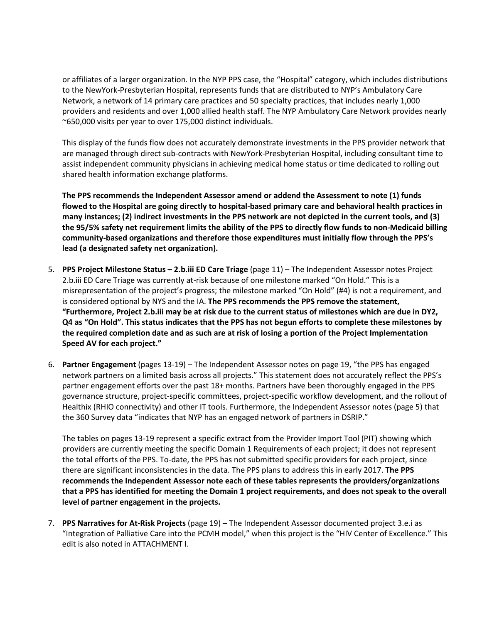or affiliates of a larger organization. In the NYP PPS case, the "Hospital" category, which includes distributions to the NewYork-Presbyterian Hospital, represents funds that are distributed to NYP's Ambulatory Care Network, a network of 14 primary care practices and 50 specialty practices, that includes nearly 1,000 providers and residents and over 1,000 allied health staff. The NYP Ambulatory Care Network provides nearly ~650,000 visits per year to over 175,000 distinct individuals.

This display of the funds flow does not accurately demonstrate investments in the PPS provider network that are managed through direct sub-contracts with NewYork-Presbyterian Hospital, including consultant time to assist independent community physicians in achieving medical home status or time dedicated to rolling out shared health information exchange platforms.

**The PPS recommends the Independent Assessor amend or addend the Assessment to note (1) funds flowed to the Hospital are going directly to hospital-based primary care and behavioral health practices in many instances; (2) indirect investments in the PPS network are not depicted in the current tools, and (3) the 95/5% safety net requirement limits the ability of the PPS to directly flow funds to non-Medicaid billing community-based organizations and therefore those expenditures must initially flow through the PPS's lead (a designated safety net organization).**

- 5. **PPS Project Milestone Status – 2.b.iii ED Care Triage** (page 11) The Independent Assessor notes Project 2.b.iii ED Care Triage was currently at-risk because of one milestone marked "On Hold." This is a misrepresentation of the project's progress; the milestone marked "On Hold" (#4) is not a requirement, and is considered optional by NYS and the IA. **The PPS recommends the PPS remove the statement, "Furthermore, Project 2.b.iii may be at risk due to the current status of milestones which are due in DY2, Q4 as "On Hold". This status indicates that the PPS has not begun efforts to complete these milestones by the required completion date and as such are at risk of losing a portion of the Project Implementation Speed AV for each project."**
- 6. **Partner Engagement** (pages 13-19) The Independent Assessor notes on page 19, "the PPS has engaged network partners on a limited basis across all projects." This statement does not accurately reflect the PPS's partner engagement efforts over the past 18+ months. Partners have been thoroughly engaged in the PPS governance structure, project-specific committees, project-specific workflow development, and the rollout of Healthix (RHIO connectivity) and other IT tools. Furthermore, the Independent Assessor notes (page 5) that the 360 Survey data "indicates that NYP has an engaged network of partners in DSRIP."

The tables on pages 13-19 represent a specific extract from the Provider Import Tool (PIT) showing which providers are currently meeting the specific Domain 1 Requirements of each project; it does not represent the total efforts of the PPS. To-date, the PPS has not submitted specific providers for each project, since there are significant inconsistencies in the data. The PPS plans to address this in early 2017. **The PPS recommends the Independent Assessor note each of these tables represents the providers/organizations that a PPS has identified for meeting the Domain 1 project requirements, and does not speak to the overall level of partner engagement in the projects.** 

7. **PPS Narratives for At-Risk Projects** (page 19) – The Independent Assessor documented project 3.e.i as "Integration of Palliative Care into the PCMH model," when this project is the "HIV Center of Excellence." This edit is also noted in ATTACHMENT I.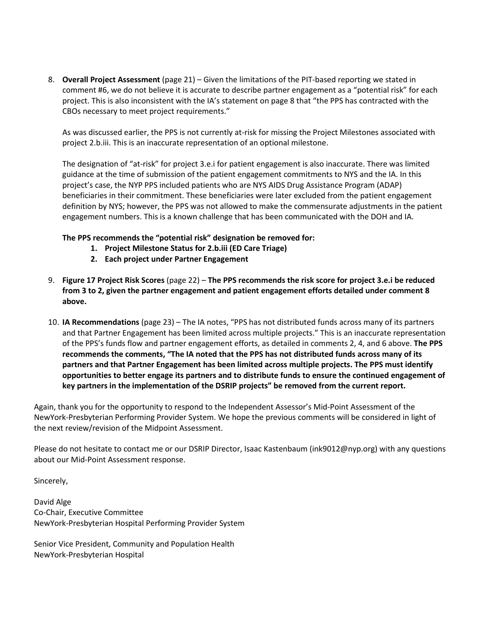8. **Overall Project Assessment** (page 21) – Given the limitations of the PIT-based reporting we stated in comment #6, we do not believe it is accurate to describe partner engagement as a "potential risk" for each project. This is also inconsistent with the IA's statement on page 8 that "the PPS has contracted with the CBOs necessary to meet project requirements."

As was discussed earlier, the PPS is not currently at-risk for missing the Project Milestones associated with project 2.b.iii. This is an inaccurate representation of an optional milestone.

The designation of "at-risk" for project 3.e.i for patient engagement is also inaccurate. There was limited guidance at the time of submission of the patient engagement commitments to NYS and the IA. In this project's case, the NYP PPS included patients who are NYS AIDS Drug Assistance Program (ADAP) beneficiaries in their commitment. These beneficiaries were later excluded from the patient engagement definition by NYS; however, the PPS was not allowed to make the commensurate adjustments in the patient engagement numbers. This is a known challenge that has been communicated with the DOH and IA.

## **The PPS recommends the "potential risk" designation be removed for:**

- **1. Project Milestone Status for 2.b.iii (ED Care Triage)**
- **2. Each project under Partner Engagement**
- 9. **Figure 17 Project Risk Scores** (page 22) **The PPS recommends the risk score for project 3.e.i be reduced from 3 to 2, given the partner engagement and patient engagement efforts detailed under comment 8 above.**
- 10. **IA Recommendations** (page 23) The IA notes, "PPS has not distributed funds across many of its partners and that Partner Engagement has been limited across multiple projects." This is an inaccurate representation of the PPS's funds flow and partner engagement efforts, as detailed in comments 2, 4, and 6 above. **The PPS recommends the comments, "The IA noted that the PPS has not distributed funds across many of its partners and that Partner Engagement has been limited across multiple projects. The PPS must identify opportunities to better engage its partners and to distribute funds to ensure the continued engagement of key partners in the implementation of the DSRIP projects" be removed from the current report.**

Again, thank you for the opportunity to respond to the Independent Assessor's Mid-Point Assessment of the NewYork-Presbyterian Performing Provider System. We hope the previous comments will be considered in light of the next review/revision of the Midpoint Assessment.

Please do not hesitate to contact me or our DSRIP Director, Isaac Kastenbaum (ink9012@nyp.org) with any questions about our Mid-Point Assessment response.

Sincerely,

David Alge Co-Chair, Executive Committee NewYork-Presbyterian Hospital Performing Provider System

Senior Vice President, Community and Population Health NewYork-Presbyterian Hospital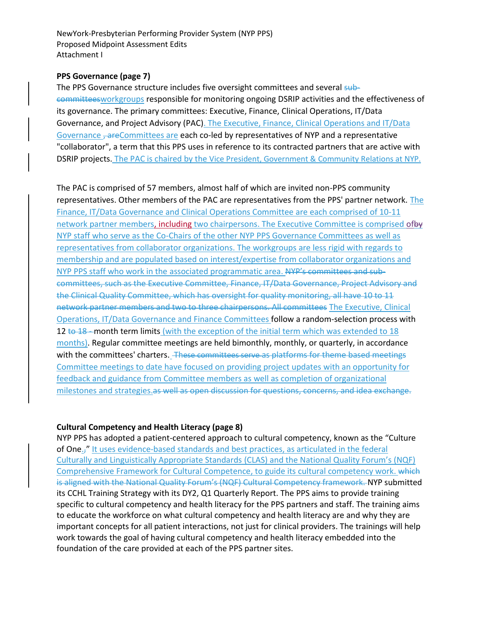NewYork-Presbyterian Performing Provider System (NYP PPS) Proposed Midpoint Assessment Edits Attachment I

## **PPS Governance (page 7)**

The PPS Governance structure includes five oversight committees and several subcommitteesworkgroups responsible for monitoring ongoing DSRIP activities and the effectiveness of its governance. The primary committees: Executive, Finance, Clinical Operations, IT/Data Governance, and Project Advisory (PAC). The Executive, Finance, Clinical Operations and IT/Data Governance <del>, are</del>Committees are each co-led by representatives of NYP and a representative "collaborator", a term that this PPS uses in reference to its contracted partners that are active with DSRIP projects. The PAC is chaired by the Vice President, Government & Community Relations at NYP.

The PAC is comprised of 57 members, almost half of which are invited non-PPS community representatives. Other members of the PAC are representatives from the PPS' partner network. The Finance, IT/Data Governance and Clinical Operations Committee are each comprised of 10-11 network partner members, including two chairpersons. The Executive Committee is comprised ofby NYP staff who serve as the Co-Chairs of the other NYP PPS Governance Committees as well as representatives from collaborator organizations. The workgroups are less rigid with regards to membership and are populated based on interest/expertise from collaborator organizations and NYP PPS staff who work in the associated programmatic area. NYP's committees and subcommittees, such as the Executive Committee, Finance, IT/Data Governance, Project Advisory and the Clinical Quality Committee, which has oversight for quality monitoring, all have 10 to 11 network partner members and two to three chairpersons. All committees The Executive, Clinical Operations, IT/Data Governance and Finance Committees follow a random-selection process with 12 to 18 - month term limits (with the exception of the initial term which was extended to 18 months). Regular committee meetings are held bimonthly, monthly, or quarterly, in accordance with the committees' charters. These committees serve as platforms for theme based meetings Committee meetings to date have focused on providing project updates with an opportunity for feedback and guidance from Committee members as well as completion of organizational milestones and strategies.as well as open discussion for questions, concerns, and idea exchange.

## **Cultural Competency and Health Literacy (page 8)**

NYP PPS has adopted a patient-centered approach to cultural competency, known as the "Culture of One.," It uses evidence-based standards and best practices, as articulated in the federal Culturally and Linguistically Appropriate Standards (CLAS) and the National Quality Forum's (NQF) Comprehensive Framework for Cultural Competence, to guide its cultural competency work. which is aligned with the National Quality Forum's (NQF) Cultural Competency framework. NYP submitted its CCHL Training Strategy with its DY2, Q1 Quarterly Report. The PPS aims to provide training specific to cultural competency and health literacy for the PPS partners and staff. The training aims to educate the workforce on what cultural competency and health literacy are and why they are important concepts for all patient interactions, not just for clinical providers. The trainings will help work towards the goal of having cultural competency and health literacy embedded into the foundation of the care provided at each of the PPS partner sites.